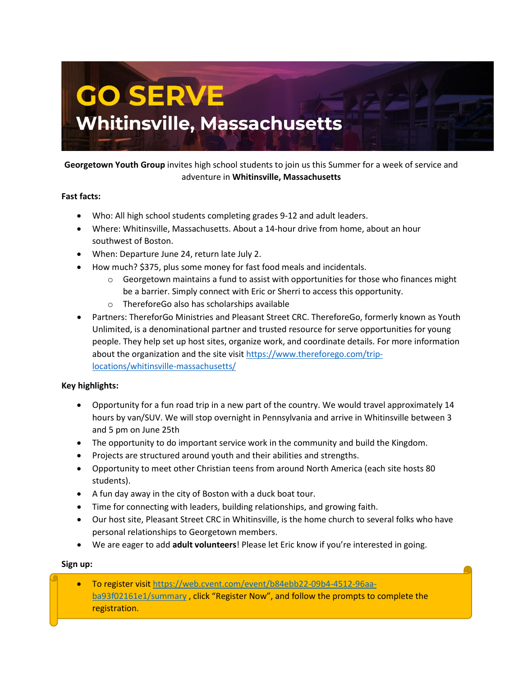

# **Georgetown Youth Group** invites high school students to join us this Summer for a week of service and adventure in **Whitinsville, Massachusetts**

## **Fast facts:**

- Who: All high school students completing grades 9-12 and adult leaders.
- Where: Whitinsville, Massachusetts. About a 14-hour drive from home, about an hour southwest of Boston.
- When: Departure June 24, return late July 2.
- How much? \$375, plus some money for fast food meals and incidentals.
	- $\circ$  Georgetown maintains a fund to assist with opportunities for those who finances might be a barrier. Simply connect with Eric or Sherri to access this opportunity.
	- o ThereforeGo also has scholarships available
- Partners: ThereforGo Ministries and Pleasant Street CRC. ThereforeGo, formerly known as Youth Unlimited, is a denominational partner and trusted resource for serve opportunities for young people. They help set up host sites, organize work, and coordinate details. For more information about the organization and the site visit [https://www.thereforego.com/trip](https://www.thereforego.com/trip-locations/whitinsville-massachusetts/)[locations/whitinsville-massachusetts/](https://www.thereforego.com/trip-locations/whitinsville-massachusetts/)

## **Key highlights:**

- Opportunity for a fun road trip in a new part of the country. We would travel approximately 14 hours by van/SUV. We will stop overnight in Pennsylvania and arrive in Whitinsville between 3 and 5 pm on June 25th
- The opportunity to do important service work in the community and build the Kingdom.
- Projects are structured around youth and their abilities and strengths.
- Opportunity to meet other Christian teens from around North America (each site hosts 80 students).
- A fun day away in the city of Boston with a duck boat tour.
- Time for connecting with leaders, building relationships, and growing faith.
- Our host site, Pleasant Street CRC in Whitinsville, is the home church to several folks who have personal relationships to Georgetown members.
- We are eager to add **adult volunteers**! Please let Eric know if you're interested in going.

#### **Sign up:**

• To register visit [https://web.cvent.com/event/b84ebb22-09b4-4512-96aa](https://web.cvent.com/event/b84ebb22-09b4-4512-96aa-ba93f02161e1/summary)[ba93f02161e1/summary](https://web.cvent.com/event/b84ebb22-09b4-4512-96aa-ba93f02161e1/summary) , click "Register Now", and follow the prompts to complete the registration.